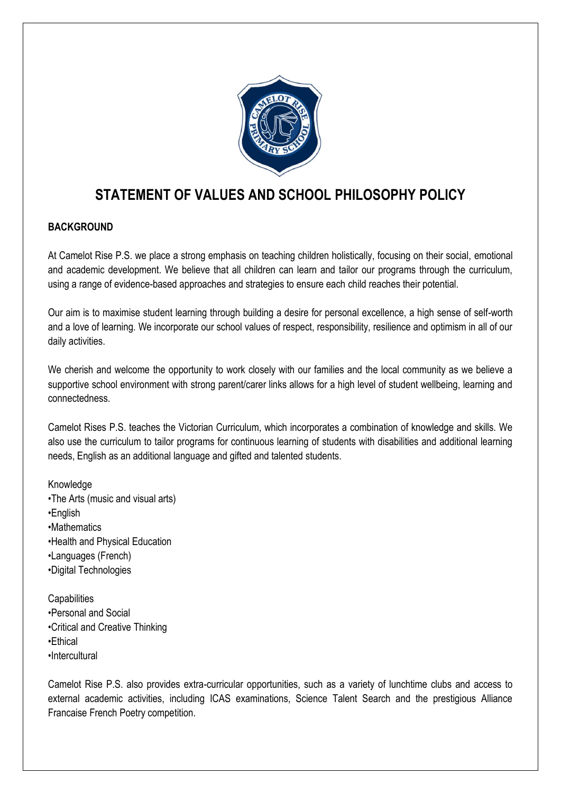

# **STATEMENT OF VALUES AND SCHOOL PHILOSOPHY POLICY**

### **BACKGROUND**

At Camelot Rise P.S. we place a strong emphasis on teaching children holistically, focusing on their social, emotional and academic development. We believe that all children can learn and tailor our programs through the curriculum, using a range of evidence-based approaches and strategies to ensure each child reaches their potential.

Our aim is to maximise student learning through building a desire for personal excellence, a high sense of self-worth and a love of learning. We incorporate our school values of respect, responsibility, resilience and optimism in all of our daily activities.

We cherish and welcome the opportunity to work closely with our families and the local community as we believe a supportive school environment with strong parent/carer links allows for a high level of student wellbeing, learning and connectedness.

Camelot Rises P.S. teaches the Victorian Curriculum, which incorporates a combination of knowledge and skills. We also use the curriculum to tailor programs for continuous learning of students with disabilities and additional learning needs, English as an additional language and gifted and talented students.

Knowledge •The Arts (music and visual arts) •English •Mathematics •Health and Physical Education •Languages (French) •Digital Technologies

**Capabilities** •Personal and Social •Critical and Creative Thinking •Ethical •Intercultural

Camelot Rise P.S. also provides extra-curricular opportunities, such as a variety of lunchtime clubs and access to external academic activities, including ICAS examinations, Science Talent Search and the prestigious Alliance Francaise French Poetry competition.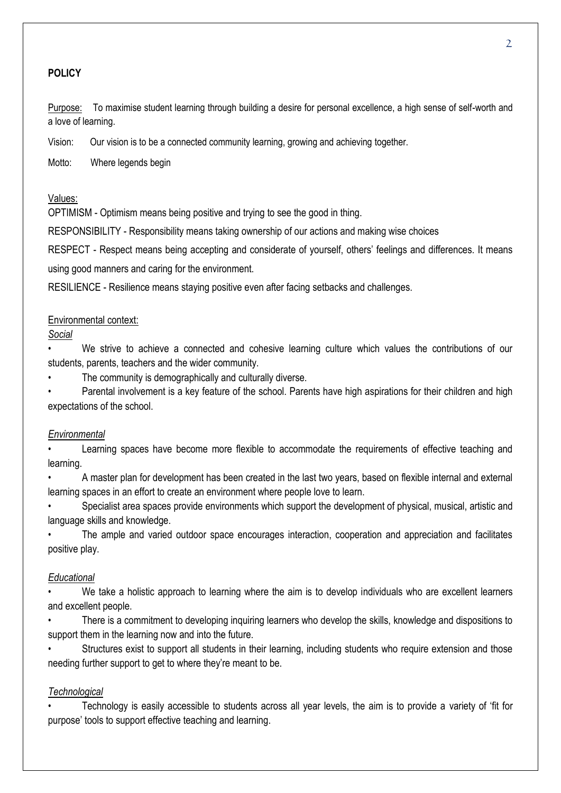#### **POLICY**

Purpose: To maximise student learning through building a desire for personal excellence, a high sense of self-worth and a love of learning.

Vision: Our vision is to be a connected community learning, growing and achieving together.

Motto: Where legends begin

#### Values:

OPTIMISM - Optimism means being positive and trying to see the good in thing.

RESPONSIBILITY - Responsibility means taking ownership of our actions and making wise choices

RESPECT - Respect means being accepting and considerate of yourself, others' feelings and differences. It means using good manners and caring for the environment.

RESILIENCE - Resilience means staying positive even after facing setbacks and challenges.

#### Environmental context:

*Social* 

• We strive to achieve a connected and cohesive learning culture which values the contributions of our students, parents, teachers and the wider community.

The community is demographically and culturally diverse.

Parental involvement is a key feature of the school. Parents have high aspirations for their children and high expectations of the school.

#### *Environmental*

Learning spaces have become more flexible to accommodate the requirements of effective teaching and learning.

• A master plan for development has been created in the last two years, based on flexible internal and external learning spaces in an effort to create an environment where people love to learn.

• Specialist area spaces provide environments which support the development of physical, musical, artistic and language skills and knowledge.

The ample and varied outdoor space encourages interaction, cooperation and appreciation and facilitates positive play.

#### *Educational*

We take a holistic approach to learning where the aim is to develop individuals who are excellent learners and excellent people.

• There is a commitment to developing inquiring learners who develop the skills, knowledge and dispositions to support them in the learning now and into the future.

Structures exist to support all students in their learning, including students who require extension and those needing further support to get to where they're meant to be.

#### *Technological*

• Technology is easily accessible to students across all year levels, the aim is to provide a variety of 'fit for purpose' tools to support effective teaching and learning.